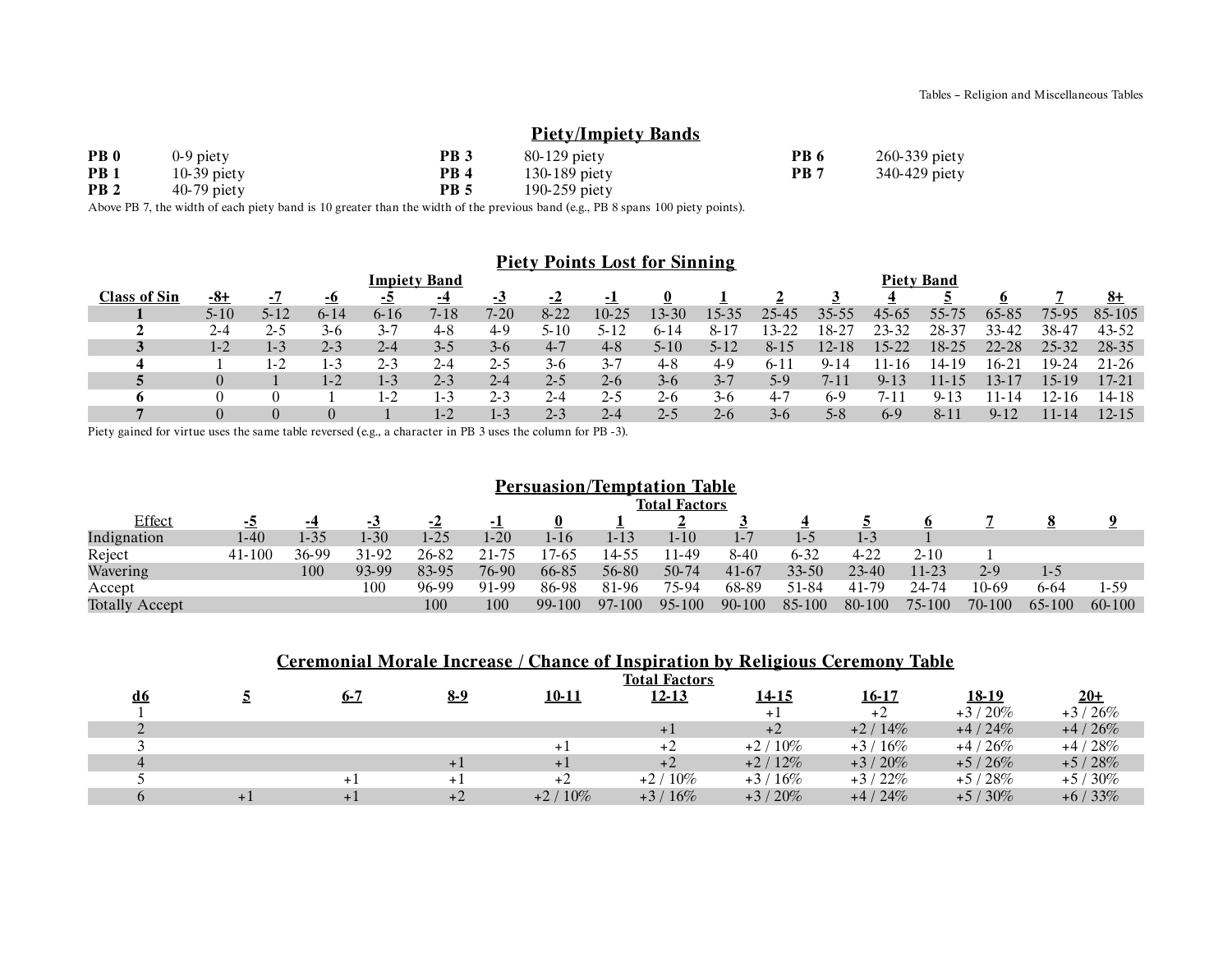## **Piety/Impiety Bands**

| PB <sub>0</sub> | $0-9$ piety   | PB <sub>3</sub> | $80-129$ piety  | PB <sub>6</sub> | 260-339 piety |
|-----------------|---------------|-----------------|-----------------|-----------------|---------------|
| PB <sub>1</sub> | $10-39$ piety | PB <sub>4</sub> | $130-189$ piety | PB 7            | 340-429 piety |
| PB <sub>2</sub> | $40-79$ piety | PB 5            | $190-259$ piety |                 |               |

Above PB 7, the width of each piety band is 10 greater than the width of the previous band (e.g., PB 8 spans 100 piety points).

### **Piety Points Lost for Sinning**

|                     | <b>Piety Band</b> |                |          |                |                |           |           |         |          |         |          |             |           |           |           |           |           |
|---------------------|-------------------|----------------|----------|----------------|----------------|-----------|-----------|---------|----------|---------|----------|-------------|-----------|-----------|-----------|-----------|-----------|
| <b>Class of Sin</b> | <u>-8+</u>        | $\blacksquare$ | -0       | $\overline{z}$ | -4             | <u>-ა</u> | <u>-4</u> | - 1     | $\bf{0}$ |         |          |             |           |           |           |           | 8+        |
|                     | $5 - 10$          | 5-12           | $6 - 14$ | $6 - 16$       | 7-18           | $7 - 20$  | $8 - 22$  | $10-25$ | 13-30    | 15-35   | 25-45    | $35 - 55$   | $45-65$   | $55 - 7$  | 65-85     | 75-95     | 85-105    |
|                     | 2-4               | 7. -           | 3-6      | $3 - 7$        | 48             | 4-9       |           |         | 6-14     | $8-1$   | $3 - 22$ | $8^{\circ}$ | $23 - 32$ | $28-3$    | 33-42     | 38-47     | $43 - 52$ |
|                     | $1 - 2$           | $1 - 3$        | $2-3$    | $2 - 4$        | $3 - 5$        | $3-6$     | $4 - 7$   | $4 - 8$ | 5-10     | 5-12    | $8 - 15$ | $12 - 18$   | $15 - 22$ | $18 - 25$ | $22 - 28$ | $25 - 32$ | $28 - 35$ |
|                     |                   | $1 - 7$        | $1 - 3$  | $2 - 3$        | $2 - 4$        | 2-5       | 3-0       | $3 - 7$ | 4-8      | $4 - 9$ | 0- I I   | Y-14        | 1-16      | 4-19      | $16-21$   | 19.24     | $21 - 26$ |
|                     |                   |                | $1 - 2$  | 1-3            | $2 - 3$        | $2 - 4$   | $2 - 5$   | $2-6$   | $3-6$    | $3 - 7$ | 5-9      | 7-11        | $9 - 13$  | 11-15     | $-3-1$    | 15-19     | 17-21     |
| o                   |                   |                |          | 1-2            | 1-3            | 23        | $2 - 4$   | 2-5     | $2-6$    | 3-0     | 4.7      | 6-9         | $7 - 11$  | Q.        | $1 - 14$  | $2 - 16$  | 14-18     |
|                     |                   |                | $\theta$ |                | $\overline{1}$ | 1-3       | $2 - 3$   | 2-4     | 25       | $2 - 6$ | 3-6      | 5-8         | 6-9       | $8 - 1$   | $9 - 12$  | 11-14     | 12-15     |

Piety gained for virtue uses the same table reversed (e.g., a character in PB 3 uses the column for PB -3).

### **Persuasion/Temptation Table**

|                       | <b>Total Factors</b> |       |       |          |       |          |        |            |         |           |           |           |         |         |             |
|-----------------------|----------------------|-------|-------|----------|-------|----------|--------|------------|---------|-----------|-----------|-----------|---------|---------|-------------|
| Effect                |                      | -4    | - 3   | -4       | - 1   |          |        |            |         |           |           |           |         |         | $\mathbf o$ |
| Indignation           | 1-40                 | 1-35  | 1-30  | $1 - 25$ | 1-20  | $1 - 16$ | 1-13   | 1-10       | $1 - 7$ | ı – 1     | 1-3       |           |         |         |             |
| Reject                | $41 - 100$           | 36-99 | 31-92 | 26-82    | 21-75 | 7-65     | 4.55   | 11-49      | $8-40$  | $6 - 32$  | $4 - 22$  | $2 - 10$  |         |         |             |
| Wavering              |                      | 100   | 93-99 | 83-95    | 76-90 | 66-85    | 56-80  | 50-74      | $41-67$ | $33 - 50$ | $23 - 40$ | $11 - 23$ | $2 - 9$ | $1 - 5$ |             |
| Accept                |                      |       | 100   | 96-99    | 91-99 | 86-98    | 81-96  | 75-94      | 68-89   | 51-84     | 41-79     | 24-74     | 10-69   | 6-64    | $1-59$      |
| <b>Totally Accept</b> |                      |       |       | 100      | 100   | 99-100   | 97-100 | $95 - 100$ | 90-100  | 85-100    | 80-100    | 75-100    | 70-100  | 65-100  | 60-100      |

### **Ceremonial Morale Increase / Chance of Inspiration by Religious Ceremony Table**

|           |         |            |           | <b>Total Factors</b> |           |           |           |             |
|-----------|---------|------------|-----------|----------------------|-----------|-----------|-----------|-------------|
| <u>d6</u> | $6 - 7$ | <u>8-9</u> | 10-11     | <u>12-13</u>         | 14-15     | $16 - 17$ | 18-19     | <u> 20+</u> |
|           |         |            |           |                      | $+1$      | $+2$      | $+3/20%$  | $+3/26%$    |
|           |         |            |           | $+1$                 | $+2$      | $+2/14%$  | $+4/24%$  | $+4/26%$    |
|           |         |            |           | $+2$                 | $+2/10\%$ | $+3/16%$  | $+4/26%$  | $+4/28%$    |
|           |         | + 1        |           | $+2$                 | $+2/12%$  | $+3/20%$  | $+5/26%$  | $+5/28%$    |
|           | $+$     | $+$ 1      | $+2$      | $+2/10\%$            | $+3/16%$  | $+3/22%$  | $+5/28%$  | $+5/30\%$   |
|           | $+1$    | $+2$       | $+2/10\%$ | $+3/16%$             | $+3/20%$  | $+4/24%$  | $+5/30\%$ | $+6/33%$    |